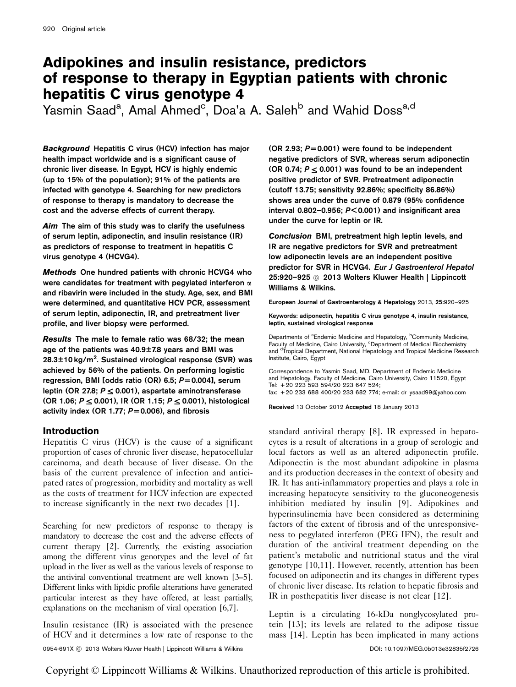# Adipokines and insulin resistance, predictors of response to therapy in Egyptian patients with chronic hepatitis C virus genotype 4

Yasmin Saad<sup>a</sup>, Amal Ahmed<sup>c</sup>, Doa'a A. Saleh<sup>b</sup> and Wahid Doss<sup>a,d</sup>

Background Hepatitis C virus (HCV) infection has major health impact worldwide and is a significant cause of chronic liver disease. In Egypt, HCV is highly endemic (up to 15% of the population); 91% of the patients are infected with genotype 4. Searching for new predictors of response to therapy is mandatory to decrease the cost and the adverse effects of current therapy.

Aim The aim of this study was to clarify the usefulness of serum leptin, adiponectin, and insulin resistance (IR) as predictors of response to treatment in hepatitis C virus genotype 4 (HCVG4).

Methods One hundred patients with chronic HCVG4 who were candidates for treatment with pegylated interferon  $\alpha$ and ribavirin were included in the study. Age, sex, and BMI were determined, and quantitative HCV PCR, assessment of serum leptin, adiponectin, IR, and pretreatment liver profile, and liver biopsy were performed.

Results The male to female ratio was 68/32; the mean age of the patients was 40.9±7.8 years and BMI was 28.3±10 kg/m<sup>2</sup>. Sustained virological response (SVR) was achieved by 56% of the patients. On performing logistic regression, BMI [odds ratio (OR) 6.5;  $P = 0.004$ ], serum leptin (OR 27.8;  $P \le 0.001$ ), aspartate aminotransferase  $(OR 1.06; P \le 0.001)$ , IR  $(OR 1.15; P \le 0.001)$ , histological activity index (OR 1.77;  $P = 0.006$ ), and fibrosis

# Introduction

Hepatitis C virus (HCV) is the cause of a significant proportion of cases of chronic liver disease, hepatocellular carcinoma, and death because of liver disease. On the basis of the current prevalence of infection and anticipated rates of progression, morbidity and mortality as well as the costs of treatment for HCV infection are expected to increase significantly in the next two decades [\[1\]](#page-4-0).

Searching for new predictors of response to therapy is mandatory to decrease the cost and the adverse effects of current therapy [\[2](#page-4-0)]. Currently, the existing association among the different virus genotypes and the level of fat upload in the liver as well as the various levels of response to the antiviral conventional treatment are well known [\[3–5\]](#page-4-0). Different links with lipidic profile alterations have generated particular interest as they have offered, at least partially, explanations on the mechanism of viral operation [\[6,7](#page-4-0)].

Insulin resistance (IR) is associated with the presence of HCV and it determines a low rate of response to the (OR 2.93;  $P = 0.001$ ) were found to be independent negative predictors of SVR, whereas serum adiponectin (OR 0.74;  $P \le 0.001$ ) was found to be an independent positive predictor of SVR. Pretreatment adiponectin (cutoff 13.75; sensitivity 92.86%; specificity 86.86%) shows area under the curve of 0.879 (95% confidence interval 0.802-0.956;  $P < 0.001$ ) and insignificant area under the curve for leptin or IR.

Conclusion BMI, pretreatment high leptin levels, and IR are negative predictors for SVR and pretreatment low adiponectin levels are an independent positive predictor for SVR in HCVG4. Eur J Gastroenterol Hepatol 25:920–925 © 2013 Wolters Kluwer Health | Lippincott Williams & Wilkins.

European Journal of Gastroenterology & Hepatology 2013, 25:920–925

Keywords: adiponectin, hepatitis C virus genotype 4, insulin resistance, leptin, sustained virological response

Departments of <sup>a</sup>Endemic Medicine and Hepatology, <sup>b</sup>Community Medicine,<br>Faculty of Medicine, Cairo University, <sup>c</sup>Department of Medical Biochemistry and <sup>d</sup>Tropical Department, National Hepatology and Tropical Medicine Research Institute, Cairo, Egypt

Correspondence to Yasmin Saad, MD, Department of Endemic Medicine and Hepatology, Faculty of Medicine, Cairo University, Cairo 11520, Egypt Tel: + 20 223 593 594/20 223 647 524; fax: + 20 233 688 400/20 233 682 774; e-mail: [dr\\_ysaad99@yahoo.com](mailto:dr_ysaad99@yahoo.com)

Received 13 October 2012 Accepted 18 January 2013

standard antiviral therapy [\[8](#page-4-0)]. IR expressed in hepatocytes is a result of alterations in a group of serologic and local factors as well as an altered adiponectin profile. Adiponectin is the most abundant adipokine in plasma and its production decreases in the context of obesity and IR. It has anti-inflammatory properties and plays a role in increasing hepatocyte sensitivity to the gluconeogenesis inhibition mediated by insulin [\[9](#page-4-0)]. Adipokines and hyperinsulinemia have been considered as determining factors of the extent of fibrosis and of the unresponsiveness to pegylated interferon (PEG IFN), the result and duration of the antiviral treatment depending on the patient's metabolic and nutritional status and the viral genotype [\[10,11](#page-4-0)]. However, recently, attention has been focused on adiponectin and its changes in different types of chronic liver disease. Its relation to hepatic fibrosis and IR in posthepatitis liver disease is not clear [\[12](#page-4-0)].

Leptin is a circulating 16-kDa nonglycosylated protein [\[13\]](#page-4-0); its levels are related to the adipose tissue mass [\[14\]](#page-4-0). Leptin has been implicated in many actions

0954-691X ⓒ 2013 Wolters Kluwer Health | Lippincott Williams & Wilkins **DOI: 10.1097/MEG.0b013e32835f2726** 

Copyright © Lippincott Williams & Wilkins. Unauthorized reproduction of this article is prohibited.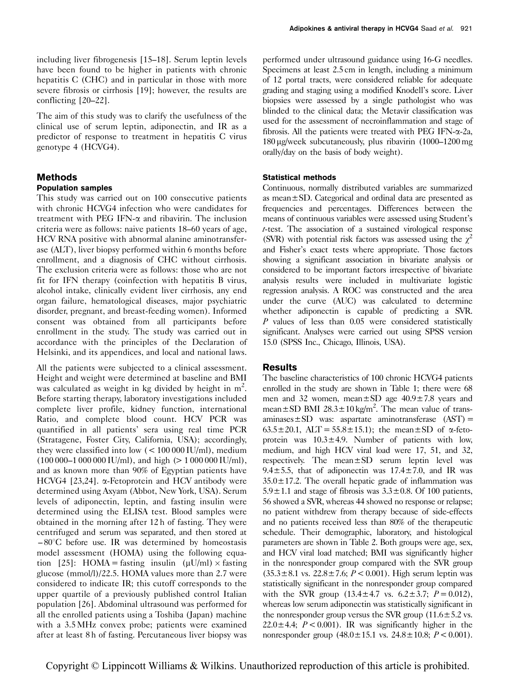The aim of this study was to clarify the usefulness of the clinical use of serum leptin, adiponectin, and IR as a predictor of response to treatment in hepatitis C virus genotype 4 (HCVG4).

# Methods

# Population samples

This study was carried out on 100 consecutive patients with chronic HCVG4 infection who were candidates for treatment with PEG IFN- $\alpha$  and ribavirin. The inclusion criteria were as follows: naive patients 18–60 years of age, HCV RNA positive with abnormal alanine aminotransferase (ALT), liver biopsy performed within 6 months before enrollment, and a diagnosis of CHC without cirrhosis. The exclusion criteria were as follows: those who are not fit for IFN therapy (coinfection with hepatitis B virus, alcohol intake, clinically evident liver cirrhosis, any end organ failure, hematological diseases, major psychiatric disorder, pregnant, and breast-feeding women). Informed consent was obtained from all participants before enrollment in the study. The study was carried out in accordance with the principles of the Declaration of Helsinki, and its appendices, and local and national laws.

All the patients were subjected to a clinical assessment. Height and weight were determined at baseline and BMI was calculated as weight in kg divided by height in  $m^2$ . Before starting therapy, laboratory investigations included complete liver profile, kidney function, international Ratio, and complete blood count. HCV PCR was quantified in all patients' sera using real time PCR (Stratagene, Foster City, California, USA); accordingly, they were classified into low (< 100 000 IU/ml), medium  $(100 000-1 000 000$  IU/ml), and high  $(> 1 000 000$  IU/ml), and as known more than 90% of Egyptian patients have HCVG4 [\[23,24\]](#page-4-0). a-Fetoprotein and HCV antibody were determined using Axyam (Abbot, New York, USA). Serum levels of adiponectin, leptin, and fasting insulin were determined using the ELISA test. Blood samples were obtained in the morning after 12 h of fasting. They were centrifuged and serum was separated, and then stored at  $-80^{\circ}$ C before use. IR was determined by homeostasis model assessment (HOMA) using the following equa-tion [\[25\]](#page-4-0): HOMA = fasting insulin  $(\mu U/ml) \times$  fasting glucose (mmol/l)/22.5. HOMA values more than 2.7 were considered to indicate IR; this cutoff corresponds to the upper quartile of a previously published control Italian population [\[26\]](#page-4-0). Abdominal ultrasound was performed for all the enrolled patients using a Toshiba (Japan) machine with a 3.5 MHz convex probe; patients were examined after at least 8 h of fasting. Percutaneous liver biopsy was performed under ultrasound guidance using 16-G needles. Specimens at least 2.5 cm in length, including a minimum of 12 portal tracts, were considered reliable for adequate grading and staging using a modified Knodell's score. Liver biopsies were assessed by a single pathologist who was blinded to the clinical data; the Metavir classification was used for the assessment of necroinflammation and stage of fibrosis. All the patients were treated with PEG IFN- $\alpha$ -2a, 180 mg/week subcutaneously, plus ribavirin (1000–1200 mg orally/day on the basis of body weight).

# Statistical methods

Continuous, normally distributed variables are summarized as mean±SD. Categorical and ordinal data are presented as frequencies and percentages. Differences between the means of continuous variables were assessed using Student's t-test. The association of a sustained virological response (SVR) with potential risk factors was assessed using the  $\chi^2$ and Fisher's exact tests where appropriate. Those factors showing a significant association in bivariate analysis or considered to be important factors irrespective of bivariate analysis results were included in multivariate logistic regression analysis. A ROC was constructed and the area under the curve (AUC) was calculated to determine whether adiponectin is capable of predicting a SVR.  $P$  values of less than  $0.05$  were considered statistically significant. Analyses were carried out using SPSS version 15.0 (SPSS Inc., Chicago, Illinois, USA).

# Results

The baseline characteristics of 100 chronic HCVG4 patients enrolled in the study are shown in [Table 1;](#page-2-0) there were 68 men and 32 women, mean $\pm$ SD age 40.9 $\pm$ 7.8 years and mean  $\pm$  SD BMI 28.3  $\pm$  10 kg/m<sup>2</sup>. The mean value of trans $aminases \pm SD$  was: aspartate aminotransferase  $(AST) =$  $63.5 \pm 20.1$ , ALT =  $55.8 \pm 15.1$ ); the mean  $\pm$ SD of  $\alpha$ -fetoprotein was  $10.3 \pm 4.9$ . Number of patients with low, medium, and high HCV viral load were 17, 51, and 32, respectively. The mean±SD serum leptin level was 9.4 $\pm$ 5.5, that of adiponectin was 17.4 $\pm$ 7.0, and IR was  $35.0 \pm 17.2$ . The overall hepatic grade of inflammation was  $5.9 \pm 1.1$  and stage of fibrosis was  $3.3 \pm 0.8$ . Of 100 patients, 56 showed a SVR, whereas 44 showed no response or relapse; no patient withdrew from therapy because of side-effects and no patients received less than 80% of the therapeutic schedule. Their demographic, laboratory, and histological parameters are shown in [Table 2.](#page-2-0) Both groups were age, sex, and HCV viral load matched; BMI was significantly higher in the nonresponder group compared with the SVR group  $(35.3 \pm 8.1 \text{ vs. } 22.8 \pm 7.6; P < 0.001)$ . High serum leptin was statistically significant in the nonresponder group compared with the SVR group  $(13.4 \pm 4.7 \text{ vs. } 6.2 \pm 3.7; P = 0.012)$ , whereas low serum adiponectin was statistically significant in the nonresponder group versus the SVR group  $(11.6 \pm 5.2 \text{ vs.})$  $22.0 \pm 4.4$ ;  $P < 0.001$ ). IR was significantly higher in the nonresponder group  $(48.0 \pm 15.1 \text{ vs. } 24.8 \pm 10.8; P < 0.001)$ .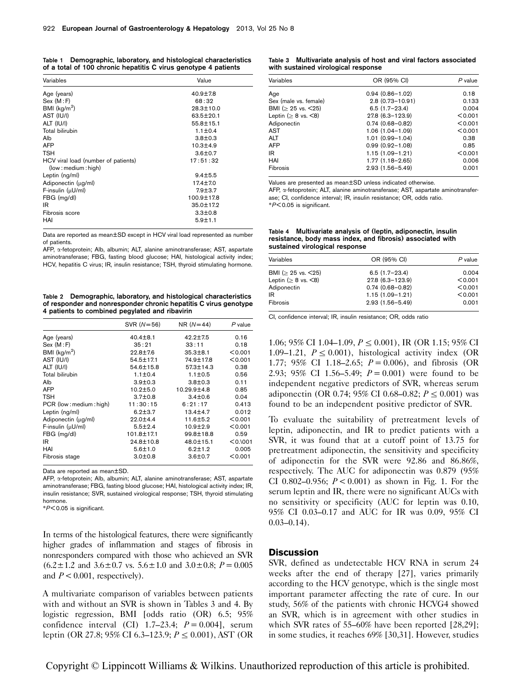#### <span id="page-2-0"></span>Table 1 Demographic, laboratory, and histological characteristics of a total of 100 chronic hepatitis C virus genotype 4 patients

| Variables                           | Value           |
|-------------------------------------|-----------------|
| Age (years)                         | $40.9 \pm 7.8$  |
| Sex (M : F)                         | 68:32           |
| BMI $(kq/m2)$                       | 28.3±10.0       |
| AST (IU/I)                          | $63.5 + 20.1$   |
| ALT (IU/I)                          | $55.8 \pm 15.1$ |
| Total bilirubin                     | $1.1 \pm 0.4$   |
| Alb                                 | $3.8 + 0.3$     |
| <b>AFP</b>                          | $10.3 + 4.9$    |
| <b>TSH</b>                          | $3.6 \pm 0.7$   |
| HCV viral load (number of patients) | 17:51:32        |
| (low: medium: high)                 |                 |
| Leptin (ng/ml)                      | $9.4 + 5.5$     |
| Adiponectin (µq/ml)                 | $17.4 \pm 7.0$  |
| F-insulin (µU/ml)                   | $7.9 + 3.7$     |
| FBG (mg/dl)                         | 100.9±17.8      |
| IR                                  | $35.0 \pm 17.2$ |
| Fibrosis score                      | $3.3 \pm 0.8$   |
| HAI                                 | $5.9 + 1.1$     |

Data are reported as mean±SD except in HCV viral load represented as number of patients.

AFP, a-fetoprotein; Alb, albumin; ALT, alanine aminotransferase; AST, aspartate aminotransferase; FBG, fasting blood glucose; HAI, histological activity index; HCV, hepatitis C virus; IR, insulin resistance; TSH, thyroid stimulating hormone.

Table 2 Demographic, laboratory, and histological characteristics of responder and nonresponder chronic hepatitis C virus genotype 4 patients to combined pegylated and ribavirin

|                           | SVR $(N=56)$    | $NR (N=44)$       | P value  |
|---------------------------|-----------------|-------------------|----------|
| Age (years)               | $40.4 \pm 8.1$  | $42.2 \pm 7.5$    | 0.16     |
| Sex (M : F)               | 35:21           | 33:11             | 0.18     |
| BMI $(kq/m2)$             | $22.8 + 7.6$    | $35.3 \pm 8.1$    | < 0.001  |
| AST (IU/I)                | 54.5±17.1       | 74.9±17.8         | < 0.001  |
| ALT (IU/I)                | 54.6±15.8       | 57.3±14.3         | 0.38     |
| Total bilirubin           | $1.1 \pm 0.4$   | $1.1 \pm 0.5$     | 0.56     |
| Alb                       | $3.9 + 0.3$     | $3.8 + 0.3$       | 0.11     |
| AFP                       | $10.2 + 5.0$    | $10.29.9 \pm 4.8$ | 0.85     |
| <b>TSH</b>                | $3.7 + 0.8$     | $3.4 \pm 0.6$     | 0.04     |
| PCR (low : medium : high) | 11:30:15        | 6:21:17           | 0.413    |
| Leptin (ng/ml)            | $6.2 + 3.7$     | $13.4 \pm 4.7$    | 0.012    |
| Adiponectin (µg/ml)       | $22.0 + 4.4$    | $11.6 \pm 5.2$    | < 0.001  |
| F-insulin (µU/ml)         | $5.5 \pm 2.4$   | $10.9 + 2.9$      | < 0.001  |
| FBG (mg/dl)               | 101.8±17.1      | 99.8±18.8         | 0.59     |
| IR                        | $24.8 \pm 10.8$ | 48.0±15.1         | < 0.1001 |
| HAI                       | $5.6 + 1.0$     | $6.2 \pm 1.2$     | 0.005    |
| Fibrosis stage            | $3.0 \pm 0.8$   | $3.6 \pm 0.7$     | < 0.001  |

Data are reported as mean±SD.

AFP, a-fetoprotein; Alb, albumin; ALT, alanine aminotransferase; AST, aspartate aminotransferase; FBG, fasting blood glucose; HAI, histological activity index; IR, insulin resistance; SVR, sustained virological response; TSH, thyroid stimulating hormone.

 $*P< 0.05$  is significant.

In terms of the histological features, there were significantly higher grades of inflammation and stages of fibrosis in nonresponders compared with those who achieved an SVR  $(6.2 \pm 1.2 \text{ and } 3.6 \pm 0.7 \text{ vs. } 5.6 \pm 1.0 \text{ and } 3.0 \pm 0.8; P = 0.005$ and  $P < 0.001$ , respectively).

A multivariate comparison of variables between patients with and without an SVR is shown in Tables 3 and 4. By logistic regression, BMI [odds ratio (OR) 6.5; 95% confidence interval (CI) 1.7–23.4;  $P = 0.004$ , serum leptin (OR 27.8; 95% CI 6.3–123.9;  $P \le 0.001$ ), AST (OR

#### Table 3 Multivariate analysis of host and viral factors associated with sustained virological response

| Variables                        | OR (95% CI)         | $P$ value |
|----------------------------------|---------------------|-----------|
| Age                              | $0.94(0.86 - 1.02)$ | 0.18      |
| Sex (male vs. female)            | $2.8(0.73 - 10.91)$ | 0.133     |
| BMI ( $\geq$ 25 vs. < 25)        | $6.5(1.7-23.4)$     | 0.004     |
| Leptin ( $\geq 8$ vs. $\leq 8$ ) | 27.8 (6.3-123.9)    | < 0.001   |
| Adiponectin                      | $0.74(0.68 - 0.82)$ | < 0.001   |
| AST                              | $1.06(1.04 - 1.09)$ | < 0.001   |
| ALT                              | $1.01(0.99 - 1.04)$ | 0.38      |
| AFP                              | $0.99(0.92 - 1.08)$ | 0.85      |
| IR                               | $1.15(1.09 - 1.21)$ | < 0.001   |
| HAI                              | $1.77(1.18 - 2.65)$ | 0.006     |
| Fibrosis                         | $2.93(1.56 - 5.49)$ | 0.001     |

Values are presented as mean±SD unless indicated otherwise.

AFP, a-fetoprotein; ALT, alanine aminotransferase; AST, aspartate aminotransferase; CI, confidence interval; IR, insulin resistance; OR, odds ratio. \*P < 0.05 is significant.

Table 4 Multivariate analysis of (leptin, adiponectin, insulin resistance, body mass index, and fibrosis) associated with sustained virological response

| Variables                       | OR (95% CI)         | $P$ value |
|---------------------------------|---------------------|-----------|
| BMI ( $\geq$ 25 vs. < 25)       | $6.5(1.7-23.4)$     | 0.004     |
| Leptin ( $\geq$ 8 vs. $\leq$ 8) | 27.8 (6.3-123.9)    | < 0.001   |
| Adiponectin                     | $0.74(0.68 - 0.82)$ | < 0.001   |
| IR                              | $1.15(1.09 - 1.21)$ | < 0.001   |
| Fibrosis                        | $2.93(1.56 - 5.49)$ | 0.001     |

CI, confidence interval; IR, insulin resistance; OR, odds ratio

1.06; 95% CI 1.04–1.09,  $P \le 0.001$ ), IR (OR 1.15; 95% CI 1.09–1.21,  $P \le 0.001$ ), histological activity index (OR 1.77; 95% CI 1.18–2.65;  $P = 0.006$ , and fibrosis (OR 2.93; 95% CI 1.56–5.49;  $P = 0.001$ ) were found to be independent negative predictors of SVR, whereas serum adiponectin (OR 0.74; 95% CI 0.68–0.82;  $P \le 0.001$ ) was found to be an independent positive predictor of SVR.

To evaluate the suitability of pretreatment levels of leptin, adiponectin, and IR to predict patients with a SVR, it was found that at a cutoff point of 13.75 for pretreatment adiponectin, the sensitivity and specificity of adiponectin for the SVR were 92.86 and 86.86%, respectively. The AUC for adiponectin was 0.879 (95% CI 0.802–0.956;  $P < 0.001$ ) as shown in [Fig. 1](#page-3-0). For the serum leptin and IR, there were no significant AUCs with no sensitivity or specificity (AUC for leptin was 0.10, 95% CI 0.03–0.17 and AUC for IR was 0.09, 95% CI  $0.03 - 0.14$ .

### **Discussion**

SVR, defined as undetectable HCV RNA in serum 24 weeks after the end of therapy [\[27\]](#page-4-0), varies primarily according to the HCV genotype, which is the single most important parameter affecting the rate of cure. In our study, 56% of the patients with chronic HCVG4 showed an SVR, which is in agreement with other studies in which SVR rates of 55–60% have been reported [\[28,29](#page-4-0)]; in some studies, it reaches 69% [\[30,31](#page-4-0)]. However, studies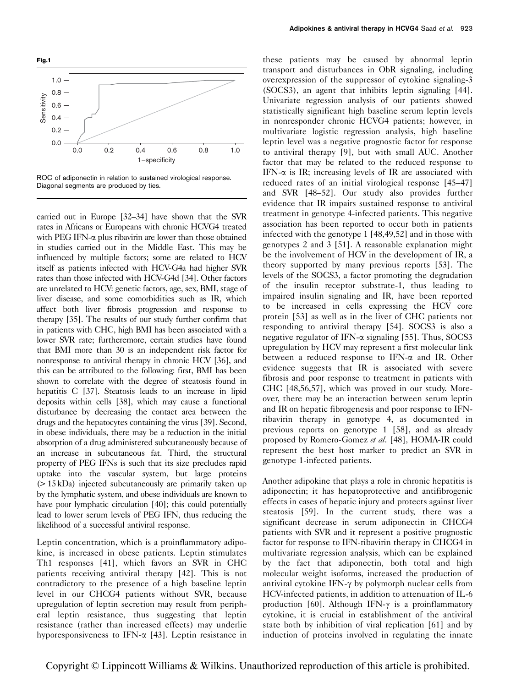<span id="page-3-0"></span>

ROC of adiponectin in relation to sustained virological response. Diagonal segments are produced by ties.

carried out in Europe [\[32–34](#page-4-0)] have shown that the SVR rates in Africans or Europeans with chronic HCVG4 treated with PEG IFN- $\alpha$  plus ribavirin are lower than those obtained in studies carried out in the Middle East. This may be influenced by multiple factors; some are related to HCV itself as patients infected with HCV-G4a had higher SVR rates than those infected with HCV-G4d [\[34\]](#page-4-0). Other factors are unrelated to HCV: genetic factors, age, sex, BMI, stage of liver disease, and some comorbidities such as IR, which affect both liver fibrosis progression and response to therapy [\[35](#page-4-0)]. The results of our study further confirm that in patients with CHC, high BMI has been associated with a lower SVR rate; furtheremore, certain studies have found that BMI more than 30 is an independent risk factor for nonresponse to antiviral therapy in chronic HCV [\[36\]](#page-4-0), and this can be attributed to the following: first, BMI has been shown to correlate with the degree of steatosis found in hepatitis C [\[37](#page-4-0)]. Steatosis leads to an increase in lipid deposits within cells [\[38\]](#page-4-0), which may cause a functional disturbance by decreasing the contact area between the drugs and the hepatocytes containing the virus [\[39](#page-4-0)]. Second, in obese individuals, there may be a reduction in the initial absorption of a drug administered subcutaneously because of an increase in subcutaneous fat. Third, the structural property of PEG IFNs is such that its size precludes rapid uptake into the vascular system, but large proteins (> 15 kDa) injected subcutaneously are primarily taken up by the lymphatic system, and obese individuals are known to have poor lymphatic circulation [\[40](#page-4-0)]; this could potentially lead to lower serum levels of PEG IFN, thus reducing the likelihood of a successful antiviral response.

Leptin concentration, which is a proinflammatory adipokine, is increased in obese patients. Leptin stimulates Th1 responses [\[41](#page-4-0)], which favors an SVR in CHC patients receiving antiviral therapy [\[42\]](#page-5-0). This is not contradictory to the presence of a high baseline leptin level in our CHCG4 patients without SVR, because upregulation of leptin secretion may result from peripheral leptin resistance, thus suggesting that leptin resistance (rather than increased effects) may underlie hyporesponsiveness to IFN- $\alpha$  [\[43\]](#page-5-0). Leptin resistance in these patients may be caused by abnormal leptin transport and disturbances in ObR signaling, including overexpression of the suppressor of cytokine signaling-3 (SOCS3), an agent that inhibits leptin signaling [\[44](#page-5-0)]. Univariate regression analysis of our patients showed statistically significant high baseline serum leptin levels in nonresponder chronic HCVG4 patients; however, in multivariate logistic regression analysis, high baseline leptin level was a negative prognostic factor for response to antiviral therapy [\[9](#page-4-0)], but with small AUC. Another factor that may be related to the reduced response to IFN- $\alpha$  is IR; increasing levels of IR are associated with reduced rates of an initial virological response [\[45–47\]](#page-5-0) and SVR [\[48–52\]](#page-5-0). Our study also provides further evidence that IR impairs sustained response to antiviral treatment in genotype 4-infected patients. This negative association has been reported to occur both in patients infected with the genotype 1 [\[48,49,52](#page-5-0)] and in those with genotypes 2 and 3 [\[51\]](#page-5-0). A reasonable explanation might be the involvement of HCV in the development of IR, a theory supported by many previous reports [\[53\]](#page-5-0). The levels of the SOCS3, a factor promoting the degradation of the insulin receptor substrate-1, thus leading to impaired insulin signaling and IR, have been reported to be increased in cells expressing the HCV core protein [\[53\]](#page-5-0) as well as in the liver of CHC patients not responding to antiviral therapy [\[54](#page-5-0)]. SOCS3 is also a negative regulator of IFN- $\alpha$  signaling [\[55\]](#page-5-0). Thus, SOCS3 upregulation by HCV may represent a first molecular link between a reduced response to IFN- $\alpha$  and IR. Other evidence suggests that IR is associated with severe fibrosis and poor response to treatment in patients with CHC [\[48,56,57](#page-5-0)], which was proved in our study. Moreover, there may be an interaction between serum leptin and IR on hepatic fibrogenesis and poor response to IFNribavirin therapy in genotype 4, as documented in previous reports on genotype 1 [\[58\]](#page-5-0), and as already proposed by Romero-Gomez et al. [\[48\]](#page-5-0), HOMA-IR could represent the best host marker to predict an SVR in genotype 1-infected patients.

Another adipokine that plays a role in chronic hepatitis is adiponectin; it has hepatoprotective and antifibrogenic effects in cases of hepatic injury and protects against liver steatosis [\[59](#page-5-0)]. In the current study, there was a significant decrease in serum adiponectin in CHCG4 patients with SVR and it represent a positive prognostic factor for response to IFN-ribavirin therapy in CHCG4 in multivariate regression analysis, which can be explained by the fact that adiponectin, both total and high molecular weight isoforms, increased the production of antiviral cytokine IFN- $\gamma$  by polymorph nuclear cells from HCV-infected patients, in addition to attenuation of IL-6 production [\[60](#page-5-0)]. Although IFN- $\gamma$  is a proinflammatory cytokine, it is crucial in establishment of the antiviral state both by inhibition of viral replication [\[61\]](#page-5-0) and by induction of proteins involved in regulating the innate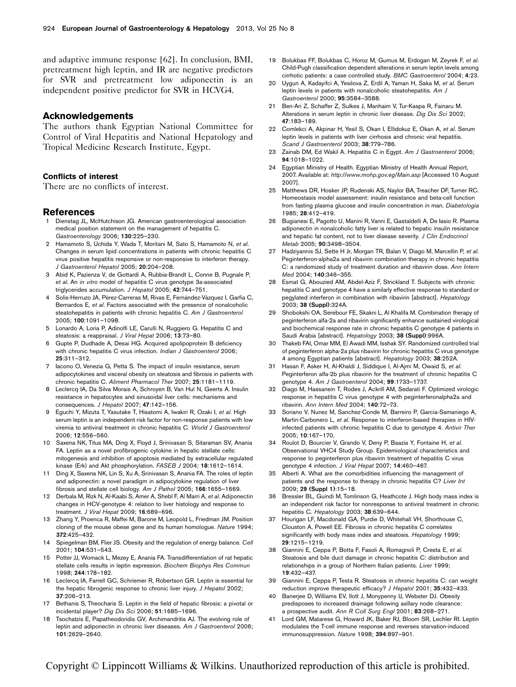<span id="page-4-0"></span>and adaptive immune response [\[62\]](#page-5-0). In conclusion, BMI, pretreatment high leptin, and IR are negative predictors for SVR and pretreatment low adiponectin is an independent positive predictor for SVR in HCVG4.

### Acknowledgements

The authors thank Egyptian National Committee for Control of Viral Hepatitis and National Hepatology and Tropical Medicine Research Institute, Egypt.

### Conflicts of interest

There are no conflicts of interest.

### References

- 1 Dienstag JL, McHutchison JG. American gastroenterological association medical position statement on the management of hepatitis C. Gastroenterology 2006; 130:225–230.
- 2 Hamamoto S, Uchida Y, Wada T, Moritani M, Sato S, Hamamoto N, et al. Changes in serum lipid concentrations in patients with chronic hepatitis C virus positive hepatitis responsive or non-responsive to interferon therapy. J Gastroenterol Hepatol 2005; 20:204–208.
- 3 Abid K, Pazienza V, de Gottardi A, Rubbia-Brandt L, Conne B, Pugnale P, et al. An in vitro model of hepatitis C virus genotype 3a-associated triglycerides accumulation. J Hepatol 2005; 42:744–751.
- Solis-Herruzo JA, Pérez-Carreras M, Rivas E, Fernández-Vázquez I, Garfia C, Bernardos E, et al. Factors associated with the presence of nonalcoholic steatohepatitis in patients with chronic hepatitis C. Am J Gastroenterol 2005; 100:1091–1098.
- 5 Lonardo A, Loria P, Adinolfi LE, Carulli N, Ruggiero G. Hepatitis C and steatosis: a reappraisal. J Viral Hepat 2006; 13:73–80.
- 6 Gupte P, Dudhade A, Desai HG. Acquired apolipoprotein B deficiency with chronic hepatitis C virus infection. Indian J Gastroenterol 2006; 25:311–312.
- Iacono O, Venezia G, Petta S. The impact of insulin resistance, serum adipocytokines and visceral obesity on steatosis and fibrosis in patients with chronic hepatitis C. Aliment Pharmacol Ther 2007; 25:1181–1119.
- 8 Leclercq IA, Da Silva Morais A, Schroyen B, Van Hul N, Geerts A. Insulin resistance in hepatocytes and sinusoidal liver cells: mechanisms and consequences. J Hepatol 2007; 47:142-156.
- 9 Eguchi Y, Mizuta T, Yasutake T, Hisatomi A, Iwakiri R, Ozaki I, et al. High serum leptin is an independent risk factor for non-response patients with low viremia to antiviral treatment in chronic hepatitis C. World J Gastroenterol 2006; 12:556–560.
- 10 Saxena NK, Titus MA, Ding X, Floyd J, Srinivasan S, Sitaraman SV, Anania FA. Leptin as a novel profibrogenic cytokine in hepatic stellate cells: mitogenesis and inhibition of apoptosis mediated by extracellular regulated kinase (Erk) and Akt phosphorylation. FASEB J 2004; 18:1612-1614.
- 11 Ding X, Saxena NK, Lin S, Xu A, Srinivasan S, Anania FA. The roles of leptin and adiponectin: a novel paradigm in adipocytokine regulation of liver fibrosis and stellate cell biology. Am J Pathol 2005; 166:1655–1669.
- 12 Derbala M, Rizk N, Al-Kaabi S, Amer A, Shebl F, Al Marri A, et al. Adiponectin changes in HCV-genotype 4: relation to liver histology and response to treatment. J Viral Hepat 2009; 16:689–696.
- 13 Zhang Y, Proenca R, Maffei M, Barone M, Leopold L, Friedman JM. Position cloning of the mouse obese gene and its human homologue. Nature 1994; 372:425–432.
- 14 Spiegelman BM, Flier JS. Obesity and the regulation of energy balance. Cell 2001; 104:531–543.
- 15 Potter JJ, Womack L, Mezey E, Anania FA. Transdifferentiation of rat hepatic stellate cells results in leptin expression. Biochem Biophys Res Commun 1998; 244:178–182.
- 16 Leclercq IA, Farrell GC, Schriemer R, Robertson GR. Leptin is essential for the hepatic fibrogenic response to chronic liver injury. J Hepatol 2002; 37:206–213.
- 17 Bethanis S, Theocharis S. Leptin in the field of hepatic fibrosis: a pivotal or incidental player? Dig Dis Sci 2006; 51:1685–1696.
- 18 Tsochatzis E, Papatheodoridis GV, Archimandritis AJ. The evolving role of leptin and adiponectin in chronic liver diseases. Am J Gastroenterol 2006; 101:2629–2640.
- 19 Bolukbas FF, Bolukbas C, Horoz M, Gumus M, Erdogan M, Zeyrek F, et al. Child-Pugh classification dependent alterations in serum leptin levels among cirrhotic patients: a case controlled study. BMC Gastroenterol 2004; 4:23.
- 20 Uygun A, Kadayifci A, Yesilova Z, Erdil A, Yaman H, Saka M, et al. Serum leptin levels in patients with nonalcoholic steatohepatitis. Am J Gastroenterol 2000; 95:3584–3588.
- 21 Ben-Ari Z, Schaffer Z, Sulkes J, Manhaim V, Tur-Kaspa R, Fainaru M. Alterations in serum leptin in chronic liver disease. Dig Dis Sci 2002; 47:183–189.
- 22 Comlekci A, Akpinar H, Yesil S, Okan I, Ellidokuz E, Okan A, et al, Serum leptin levels in patients with liver cirrhosis and chronic viral hepatitis. Scand J Gastroenterol 2003; 38:779–786.
- 23 Zainab DM, Ed Wakil A. Hepatitis C in Egypt. Am J Gastroenterol 2006; 94:1018–1022.
- 24 Egyptian Ministry of Health. Egyptian Ministry of Health Annual Report, 2007. Available at: <http://www.mohp.gov.eg/Main.asp> [Accessed 10 August 2007].
- 25 Matthews DR, Hosker JP, Rudenski AS, Naylor BA, Treacher DF, Turner RC. Homeostasis model assessment: insulin resistance and beta-cell function from fasting plasma glucose and insulin concentration in man. Diabetologia 1985; 28:412–419.
- 26 Bugianesi E, Pagotto U, Manini R, Vanni E, Gastaldelli A, De Iasio R. Plasma adiponectin in nonalcoholic fatty liver is related to hepatic insulin resistance and hepatic fat content, not to liver disease severity. J Clin Endocrinol Metab 2005; 90:3498–3504.
- 27 Hadziyannis SJ, Sette H Jr, Morgan TR, Balan V, Diago M, Marcellin P, et al. Peginterferon-alpha2a and ribavirin combination therapy in chronic hepatitis C: a randomized study of treatment duration and ribavirin dose. Ann Intern Med 2004; 140:346–355.
- 28 Esmat G, Abouzied AM, Abdel-Aziz F, Strickland T. Subjects with chronic hepatitis C and genotype 4 have a similarly effective response to standard or pegylated interferon in combination with ribavirin [abstract]. Hepatology 2003; 38 (Suppl):324A.
- 29 Shobokshi OA, Serebour FE, Skakni L, Al Khalifa M. Combination therapy of peginterferon alfa-2a and ribavirin significantly enhance sustained virological and biochemical response rate in chronic hepatitis C genotype 4 patients in Saudi Arabia [abstract]. Hepatology 2003; 38 (Suppl):996A.
- Thakeb FAI, Omar MM, El Awadi MM, Isshak SY. Randomized controlled trial of peginterferon alpha-2a plus ribavirin for chronic hepatitis C virus genotype 4 among Egyptian patients [abstract]. Hepatology 2003; 38:252A.
- 31 Hasan F, Asker H, Al-Khaldi J, Siddique I, Al-Ajmi M, Owaid S, et al. Peginterferon alfa-2b plus ribavirin for the treatment of chronic hepatitis C genotype 4. Am J Gastroenterol 2004; 99:1733–1737.
- 32 Diago M, Hassanein T, Rodes J, Ackrill AM, Sedarati F. Optimized virologic response in hepatitis C virus genotype 4 with peginterferonalpha2a and ribavirin. Ann Intern Med 2004; 140:72–73.
- 33 Soriano V, Nunez M, Sanchez-Conde M, Barreiro P, Garcia-Samaniego A, Martin-Carbonero L, et al. Response to interferon-based therapies in HIVinfected patients with chronic hepatitis C due to genotype 4. Antivir Ther 2005; 10:167–170.
- 34 Roulot D, Bourcier V, Grando V, Deny P, Baazia Y, Fontaine H, et al. Observational VHC4 Study Group. Epidemiological characteristics and response to peginterferon plus ribavirin treatment of hepatitis C virus genotype 4 infection. J Viral Hepat 2007; 14:460–467.
- 35 Alberti A. What are the comorbidities influencing the management of patients and the response to therapy in chronic hepatitis C? Liver Int 2009; 29 (Suppl 1):15–18.
- 36 Bressler BL, Guindi M, Tomlinson G, Heathcote J. High body mass index is an independent risk factor for nonresponse to antiviral treatment in chronic hepatitis C. Hepatology 2003; 38:639-644.
- Hourigan LF, Macdonald GA, Purdie D, Whitehall VH, Shorthouse C, Clouston A, Powell EE. Fibrosis in chronic hepatitis C correlates significantly with body mass index and steatosis. Hepatology 1999; 29:1215–1219.
- 38 Giannini E, Ceppa P, Botta F, Fasoli A, Romagnoli P, Cresta E, et al. Steatosis and bile duct damage in chronic hepatitis C: distribution and relationships in a group of Northern Italian patients. Liver 1999; 19:432–437.
- 39 Giannini E, Ceppa P, Testa R. Steatosis in chronic hepatitis C: can weight reduction improve therapeutic efficacy? J Hepatol 2001; 35:432–433.
- 40 Banerjee D, Williams EV, Ilott J, Monypenny IJ, Webster DJ. Obesity predisposes to increased drainage following axillary node clearance: a prospective audit. Ann R Coll Surg Engl 2001; 83:268–271.
- 41 Lord GM, Matarese G, Howard JK, Baker RJ, Bloom SR, Lechler RI. Leptin modulates the T-cell immune response and reverses starvation-induced immunosuppression. Nature 1998; 394:897–901.

Copyright © Lippincott Williams & Wilkins. Unauthorized reproduction of this article is prohibited.